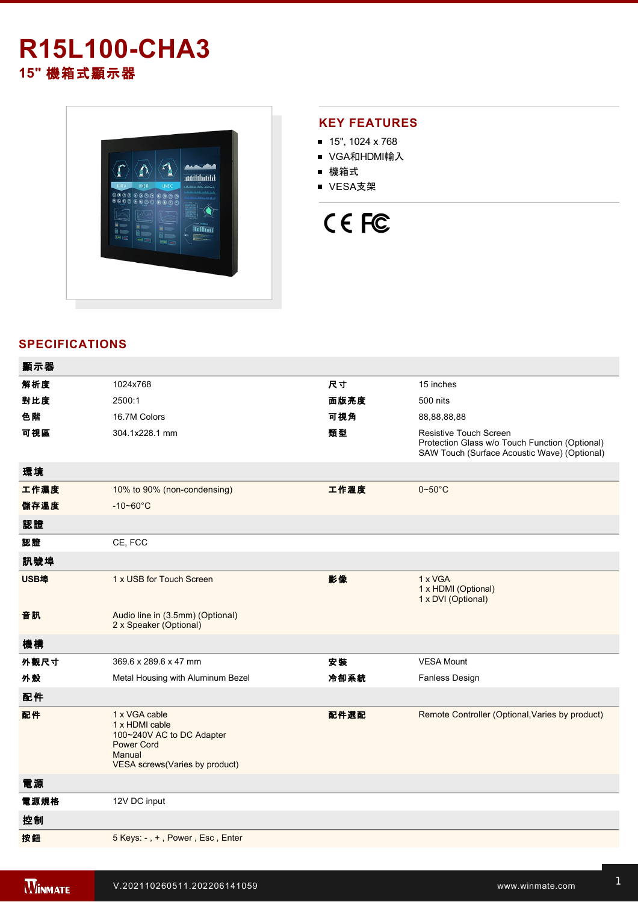## **R15L100-CHA3 15"** 機箱式顯示器



### **KEY FEATURES**

- 15", 1024 x 768
- VGA和HDMI輸入
- 機箱式
- VESA支架

# CE FC

### **SPECIFICATIONS**

| 顯示器  |                                                                                                                                      |      |                                                                                                                                 |
|------|--------------------------------------------------------------------------------------------------------------------------------------|------|---------------------------------------------------------------------------------------------------------------------------------|
| 解析度  | 1024x768                                                                                                                             | 尺寸   | 15 inches                                                                                                                       |
| 對比度  | 2500:1                                                                                                                               | 面版亮度 | 500 nits                                                                                                                        |
| 色階   | 16.7M Colors                                                                                                                         | 可視角  | 88,88,88,88                                                                                                                     |
| 可視區  | 304.1x228.1 mm                                                                                                                       | 類型   | <b>Resistive Touch Screen</b><br>Protection Glass w/o Touch Function (Optional)<br>SAW Touch (Surface Acoustic Wave) (Optional) |
| 環境   |                                                                                                                                      |      |                                                                                                                                 |
| 工作濕度 | 10% to 90% (non-condensing)                                                                                                          | 工作溫度 | $0\nightharpoonup 50^\circ C$                                                                                                   |
| 儲存溫度 | $-10 - 60^{\circ}C$                                                                                                                  |      |                                                                                                                                 |
| 認證   |                                                                                                                                      |      |                                                                                                                                 |
| 認證   | CE, FCC                                                                                                                              |      |                                                                                                                                 |
| 訊號埠  |                                                                                                                                      |      |                                                                                                                                 |
| USB埠 | 1 x USB for Touch Screen                                                                                                             | 影像   | 1 x VGA<br>1 x HDMI (Optional)<br>1 x DVI (Optional)                                                                            |
| 音訊   | Audio line in (3.5mm) (Optional)<br>2 x Speaker (Optional)                                                                           |      |                                                                                                                                 |
| 機構   |                                                                                                                                      |      |                                                                                                                                 |
| 外觀尺寸 | 369.6 x 289.6 x 47 mm                                                                                                                | 安裝   | <b>VESA Mount</b>                                                                                                               |
| 外殼   | Metal Housing with Aluminum Bezel                                                                                                    | 冷卻系統 | <b>Fanless Design</b>                                                                                                           |
| 配件   |                                                                                                                                      |      |                                                                                                                                 |
| 配件   | 1 x VGA cable<br>1 x HDMI cable<br>100~240V AC to DC Adapter<br><b>Power Cord</b><br>Manual<br><b>VESA screws(Varies by product)</b> | 配件選配 | Remote Controller (Optional, Varies by product)                                                                                 |
| 電源   |                                                                                                                                      |      |                                                                                                                                 |
| 電源規格 | 12V DC input                                                                                                                         |      |                                                                                                                                 |
| 控制   |                                                                                                                                      |      |                                                                                                                                 |
| 按鈕   | 5 Keys: -, +, Power, Esc, Enter                                                                                                      |      |                                                                                                                                 |
|      |                                                                                                                                      |      |                                                                                                                                 |